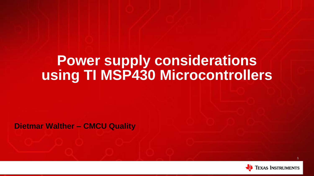# **Power supply considerations using TI MSP430 Microcontrollers**

**Dietmar Walther – CMCU Quality**

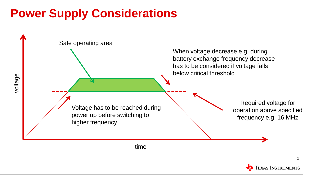## **Power Supply Considerations**

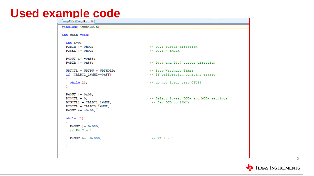# Used example code

```
#include <msp430.h>
int main (void)
 int i=0;
 P2DIR |= 0x02;// P2.1 output direction
                                       // P2.1 = SMCLKP2SEL |= 0x02;P4OUT \epsilon = ~0x88;
                                      // P4.4 and P4.7 output direction
 P4DIR |= 0x88;// Stop Watchdog Timer
 WDTCTL = WDTPW + WDTHOLD;if (CALBC1 16MHZ==0xFF)
                                       // If calibration constant erased
  л.
   while(1):
                                       // do not load, trap CPU!!
  x
 P40UT |= 0x08;// Select lowest DCOx and MODx settings
  DCOCTL = 0;BCSCTL1 = CALBC1 16MHz;// Set DCO to 16MHz
  DCOCTL = CALDCO 16MHz;P4OUT s = -0x08;
  while (1)P4OUT = 0x080;1/ P4.7 = 1
                                        1/PR.7 = 0P40UT s = -0x080;
```
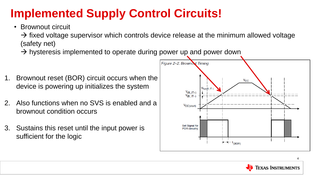# **Implemented Supply Control Circuits!**

• Brownout circuit

 $\rightarrow$  fixed voltage supervisor which controls device release at the minimum allowed voltage (safety net)

- $\rightarrow$  hysteresis implemented to operate during power up and power down
- 1. Brownout reset (BOR) circuit occurs when the device is powering up initializes the system
- 2. Also functions when no SVS is enabled and a brownout condition occurs
- 3. Sustains this reset until the input power is sufficient for the logic



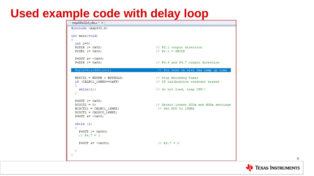#### **Used example code with delay loop**

| msp430x22x4_clks.c* ×                                                                                                          |                                                                |
|--------------------------------------------------------------------------------------------------------------------------------|----------------------------------------------------------------|
| include <msp430.h></msp430.h>                                                                                                  |                                                                |
| int main (void)                                                                                                                |                                                                |
| $int$ $i=0$ ;                                                                                                                  |                                                                |
| P2DIR $= 0x02;$<br>$P2SEL$ $I = 0x02$ ;                                                                                        | // P2.1 output direction<br>// $P2.1 = SMCLK$                  |
|                                                                                                                                |                                                                |
| P4OUT $x = -0x88$ ;                                                                                                            |                                                                |
| <b>P4DIR</b> $ = 0x88;$                                                                                                        | // P4.4 and P4.7 output direction                              |
| for $(i=0; i<250; i++)$ ;                                                                                                      | // for turn on with 2ms ramp up time                           |
| $WDTCTL = WDTPW + WDTHOLD;$<br>if (CALBC1 16MHZ==0xFF)                                                                         | // Stop Watchdog Timer<br>// If calibration constant erased    |
| Đ<br>while $(1)$ ;<br>Ъ.                                                                                                       | // do not load, trap CPU!!                                     |
| P4OUT $ = 0x08;$<br>$DCOCTL = 0$ :<br>$BCSCTL1 = CALBC1 16MHz;$<br>$DCOCTL = CALDCO 16MHz;$<br>P4OUT $\epsilon$ = $\sim$ 0x08; | // Select lowest DCOx and MODx settings<br>// Set DCO to 16MHz |
| while $(1)$<br>Ł.<br>P4OUT $ = 0x080;$<br>$1/PR.7 = 1$                                                                         |                                                                |
| P40UT $x = -0x080$ ;                                                                                                           | $1/PR.7 = 0$                                                   |
| - 3                                                                                                                            |                                                                |

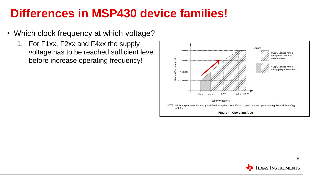### **Differences in MSP430 device families!**

- Which clock frequency at which voltage?
	- 1. For F1xx, F2xx and F4xx the supply voltage has to be reached sufficient level before increase operating frequency!



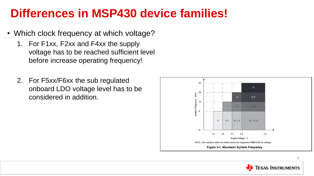#### **Differences in MSP430 device families!**

- Which clock frequency at which voltage?
	- 1. For F1xx, F2xx and F4xx the supply voltage has to be reached sufficient level before increase operating frequency!
	- 2. For F5xx/F6xx the sub regulated onboard LDO voltage level has to be considered in addition.



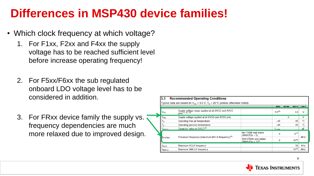### **Differences in MSP430 device families!**

- Which clock frequency at which voltage?
	- 1. For F1xx, F2xx and F4xx the supply voltage has to be reached sufficient level before increase operating frequency!
	- 2. For F5xx/F6xx the sub regulated onboard LDO voltage level has to be considered in addition.
	- 3. For FRxx device family the supply vs. frequency dependencies are much more relaxed due to improved design.

| 5.3            | <b>Recommended Operating Conditions</b>                                                                       |                    |              |            |                 |  |  |  |
|----------------|---------------------------------------------------------------------------------------------------------------|--------------------|--------------|------------|-----------------|--|--|--|
|                | Typical data are based on $V_{\text{ce}}$ = 3.0 V, $T_A$ = 25°C (unless otherwise noted)                      |                    |              |            |                 |  |  |  |
|                |                                                                                                               |                    |              |            | <b>MAY INIT</b> |  |  |  |
| $V_{CC}$       | Supply voltage range applied at all DVCC and AVCC<br>pins <sup>(1)</sup> (2) (3)                              | $1.8^{(4)}$        |              | 3.6        | v               |  |  |  |
| $V_{SS}$       | Supply voltage applied at all DVSS and AVSS pins                                                              |                    | $\mathbf{0}$ |            | v               |  |  |  |
| Тд             | Operating free-air temperature                                                                                | $-40$              |              | 85         | ۰c              |  |  |  |
|                | Operating junction temperature                                                                                | $-40$              |              | 85         | °C              |  |  |  |
| Cover          | Capacitor value at DVCC <sup>(5)</sup>                                                                        | $1_{\square 20\%}$ |              |            | μF              |  |  |  |
|                | No FRAM wait states<br>$(NWAITSx = 0)$                                                                        | $\Omega$           |              | $R^{(7)}$  | <b>MHz</b>      |  |  |  |
| <b>ISYSTEM</b> | Processor frequency (maximum MCLK frequency) <sup>(6)</sup><br>With FRAM wait states<br>$(NWAITSx = 1)^{(8)}$ | n                  |              | $16^{(9)}$ |                 |  |  |  |
| <b>TACLK</b>   | <b>Maximum ACLK frequency</b>                                                                                 |                    |              | 50         | kHz             |  |  |  |
| <b>ISMCLK</b>  | <b>Maximum SMCLK frequency</b>                                                                                |                    |              | $16^{(9)}$ | <b>MHz</b>      |  |  |  |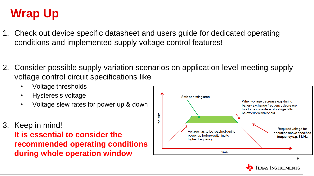# **Wrap Up**

- 1. Check out device specific datasheet and users guide for dedicated operating conditions and implemented supply voltage control features!
- 2. Consider possible supply variation scenarios on application level meeting supply voltage control circuit specifications like
	- Voltage thresholds
	- Hysteresis voltage
	- Voltage slew rates for power up & down
- 3. Keep in mind!

**It is essential to consider the recommended operating conditions during whole operation window** 

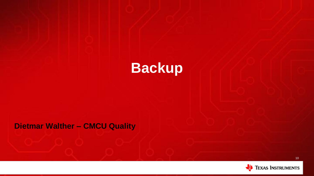

#### **Dietmar Walther – CMCU Quality**